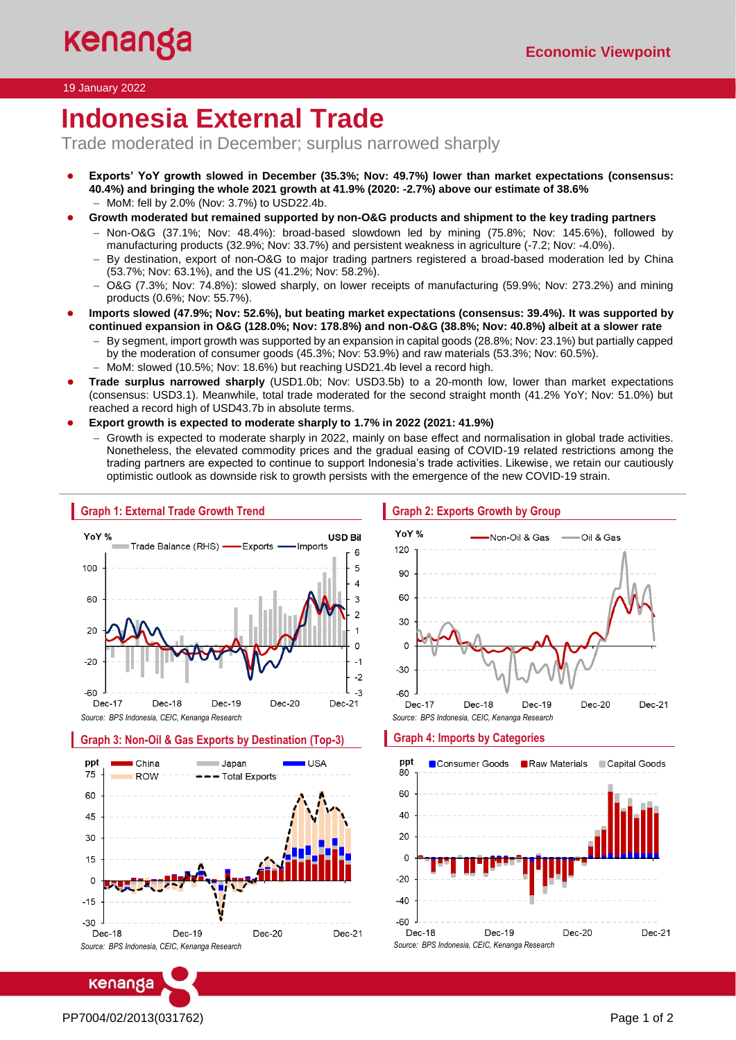# **Indonesia External Trade**

Trade moderated in December; surplus narrowed sharply

- **Exports' YoY growth slowed in December (35.3%; Nov: 49.7%) lower than market expectations (consensus: 40.4%) and bringing the whole 2021 growth at 41.9% (2020: -2.7%) above our estimate of 38.6%** − MoM: fell by 2.0% (Nov: 3.7%) to USD22.4b.
- **Growth moderated but remained supported by non-O&G products and shipment to the key trading partners**
	- − Non-O&G (37.1%; Nov: 48.4%): broad-based slowdown led by mining (75.8%; Nov: 145.6%), followed by manufacturing products (32.9%; Nov: 33.7%) and persistent weakness in agriculture (-7.2; Nov: -4.0%).
	- − By destination, export of non-O&G to major trading partners registered a broad-based moderation led by China (53.7%; Nov: 63.1%), and the US (41.2%; Nov: 58.2%).
	- − O&G (7.3%; Nov: 74.8%): slowed sharply, on lower receipts of manufacturing (59.9%; Nov: 273.2%) and mining products (0.6%; Nov: 55.7%).
- **Imports slowed (47.9%; Nov: 52.6%), but beating market expectations (consensus: 39.4%). It was supported by continued expansion in O&G (128.0%; Nov: 178.8%) and non-O&G (38.8%; Nov: 40.8%) albeit at a slower rate**
	- − By segment, import growth was supported by an expansion in capital goods (28.8%; Nov: 23.1%) but partially capped by the moderation of consumer goods (45.3%; Nov: 53.9%) and raw materials (53.3%; Nov: 60.5%).
	- − MoM: slowed (10.5%; Nov: 18.6%) but reaching USD21.4b level a record high.
- **Trade surplus narrowed sharply** (USD1.0b; Nov: USD3.5b) to a 20-month low, lower than market expectations (consensus: USD3.1). Meanwhile, total trade moderated for the second straight month (41.2% YoY; Nov: 51.0%) but reached a record high of USD43.7b in absolute terms.
- **Export growth is expected to moderate sharply to 1.7% in 2022 (2021: 41.9%)**
	- Growth is expected to moderate sharply in 2022, mainly on base effect and normalisation in global trade activities. Nonetheless, the elevated commodity prices and the gradual easing of COVID-19 related restrictions among the trading partners are expected to continue to support Indonesia's trade activities. Likewise, we retain our cautiously optimistic outlook as downside risk to growth persists with the emergence of the new COVID-19 strain.

YoY %

 $120$ 





## **Graph 3: Non-Oil & Gas Exports by Destination (Top-3)**



Non-Oil & Gas

Oil & Gas

**Graph 2: Exports Growth by Group**



kenanga